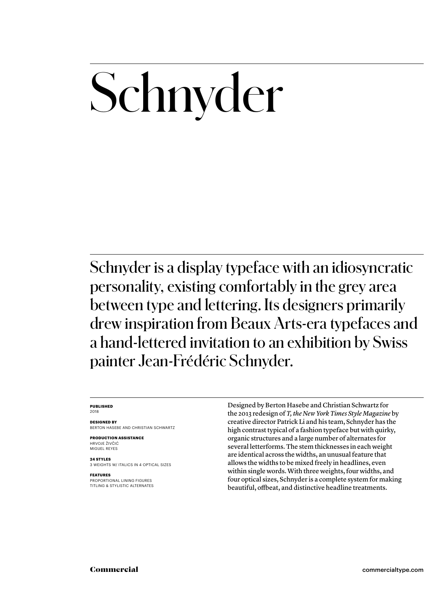## Schnyder

Schnyder is a display typeface with an idiosyncratic personality, existing comfortably in the grey area between type and lettering. Its designers primarily drew inspiration from Beaux Arts-era typefaces and a hand-lettered invitation to an exhibition by Swiss painter Jean-Frédéric Schnyder.

#### **PUBLISHED** 2018

#### **DESIGNED BY**

BERTON HASEBE AND CHRISTIAN SCHWARTZ

**PRODUCTION ASSISTANCE** HRVOJE ŽIVČIĆ MIGUEL REYES

#### **24 STYLES**

3 WEIGHTS W/ ITALICS IN 4 OPTICAL SIZES

#### **FEATURES**

PROPORTIONAL LINING FIGURES TITLING & STYLISTIC ALTERNATES Designed by Berton Hasebe and Christian Schwartz for the 2013 redesign of *T, the New York Times Style Magazine* by creative director Patrick Li and his team, Schnyder has the high contrast typical of a fashion typeface but with quirky, organic structures and a large number of alternates for several letterforms. The stem thicknesses in each weight are identical across the widths, an unusual feature that allows the widths to be mixed freely in headlines, even within single words. With three weights, four widths, and four optical sizes, Schnyder is a complete system for making beautiful, offbeat, and distinctive headline treatments.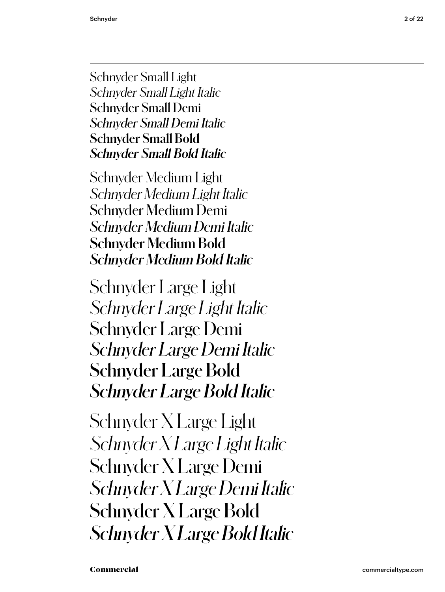Schnyder Small Light *Schnyder Small Light Italic* Schnyder Small Demi *Schnyder Small Demi Italic* **Schnyder Small Bold** *Schnyder Small Bold Italic*

Schnyder Medium Light *Schnyder Medium Light Italic* Schnyder Medium Demi *Schnyder Medium Demi Italic* **Schnyder Medium Bold** *Schnyder Medium Bold Italic*

Schnyder Large Light *Schnyder Large Light Italic* Schnyder Large Demi *Schnyder Large Demi Italic* **Schnyder Large Bold** *Schnyder Large Bold Italic*

Schnyder X Large Light *Schnyder X Large Light Italic* Schnyder X Large Demi *Schnyder X Large Demi Italic* **Schnyder X Large Bold** *Schnyder X Large Bold Italic*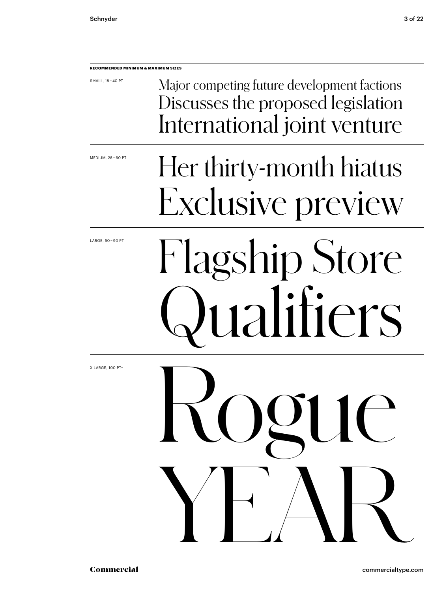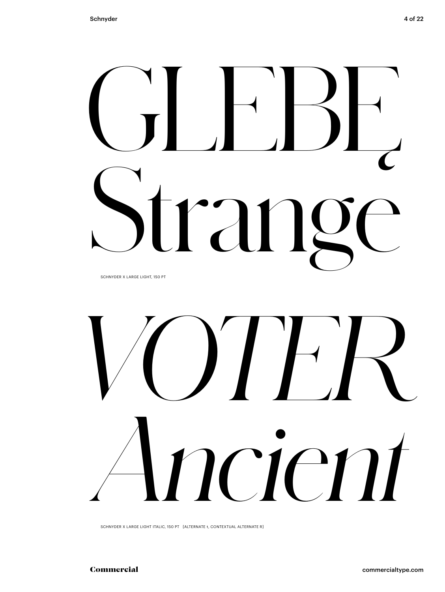# GLEBĘ  $r_d$

SCHNYDER X LARGE LIGHT, 150 PT



SCHNYDER X LARGE LIGHT ITALIC, 150 PT [ALTERNATE t, CONTEXTUAL ALTERNATE R]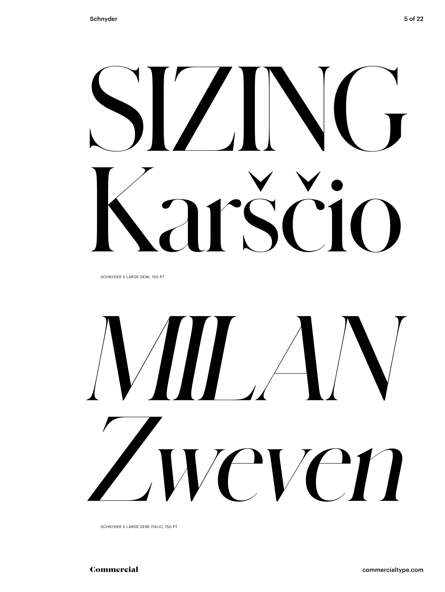# SIZING Karščio

SCHNYDER X LARGE DEMI, 150 PT

# *MILAN Zweven*

SCHNYDER X LARGE DEMI ITALIC, 150 PT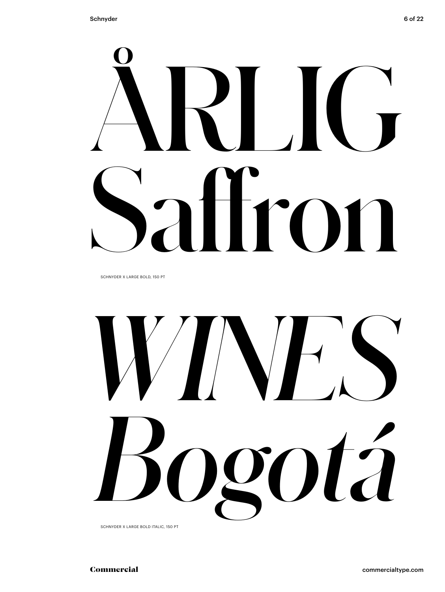

SCHNYDER X LARGE BOLD, 150 PT



SCHNYDER X LARGE BOLD ITALIC, 150 PT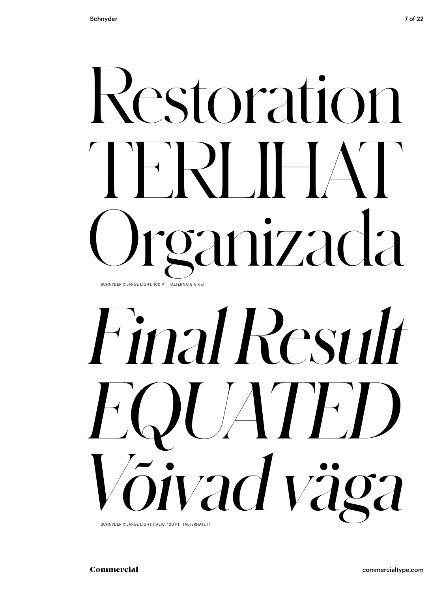## Restoration TERLIHAT Organizada SCHNYDER X LARGE LIGHT, 100 PT [ALTERNATE A R s]

# *Final Result EQUATED Võivad väga*

SCHNYDER X LARGE LIGHT ITALIC, 100 PT [ALTERNATE t]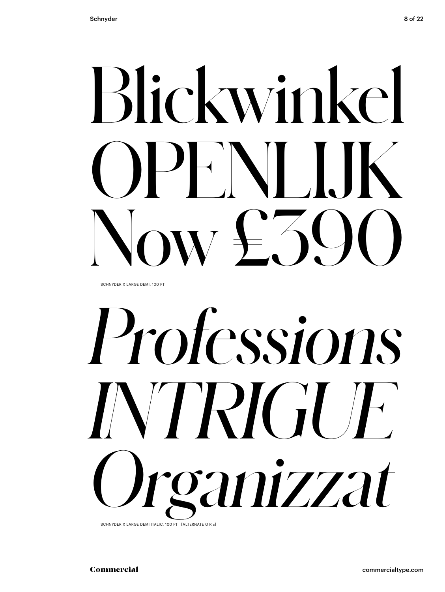# Blickwinkel PFNI IK  $\alpha v + 30$

SCHNYDER X LARGE DEMI, 100 PT

# *Professions INTRIGUE Organizzat*

SCHNYDER X LARGE DEMI ITALIC, 100 PT [ALTERNATE G R s]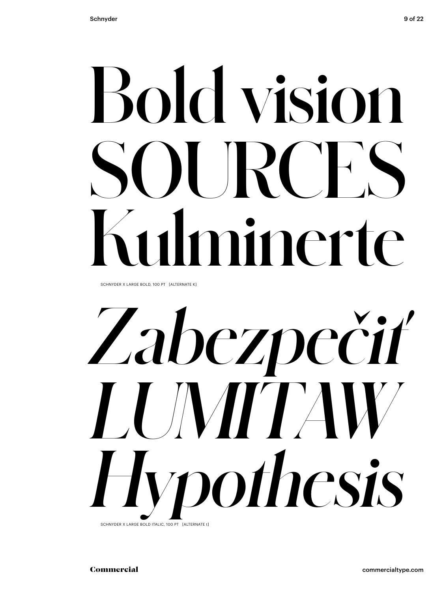## **Bold vision SOURCES Kulminerte**

SCHNYDER X LARGE BOLD, 100 PT [ALTERNATE K]

# *Zabezpečiť LUMITAW Hypothesis*

SCHNYDER X LARGE BOLD ITALIC, 100 PT [ALTERNATE t]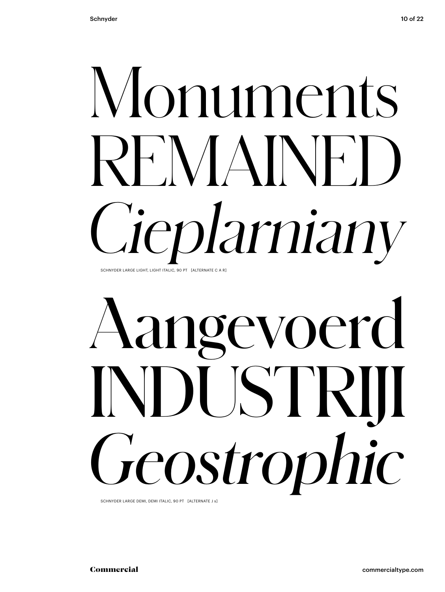#### Monuments REMAINE *Cieplarniany* SCHNYDER LARGE LIGHT, LIGHT ITALIC, 90 PT [ALTERNATE C A R]

## Aangevoerd INDUSTRIJI *Geostrophic*

SCHNYDER LARGE DEMI, DEMI ITALIC, 90 PT [ALTERNATE J s]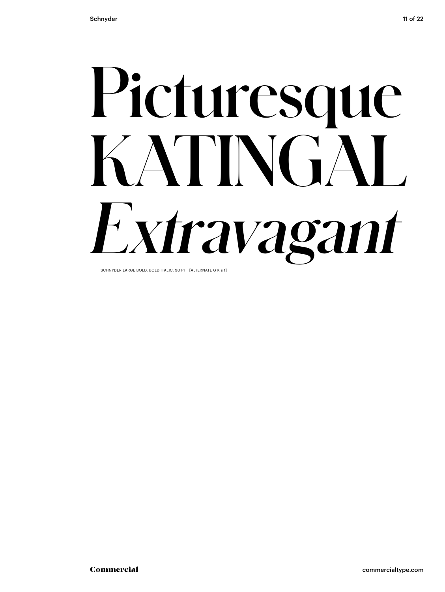

SCHNYDER LARGE BOLD, BOLD ITALIC, 90 PT [ALTERNATE G K s t]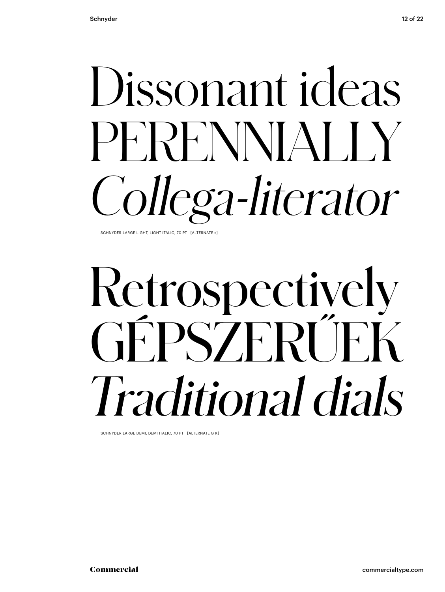### Dissonant ideas PERENNIALLY *Collega-literator*

SCHNYDER LARGE LIGHT, LIGHT ITALIC, 70 PT [ALTERNATE s]

### Retrospectively GÉPSZERŰEK *Traditional dials*

SCHNYDER LARGE DEMI, DEMI ITALIC, 70 PT [ALTERNATE G K]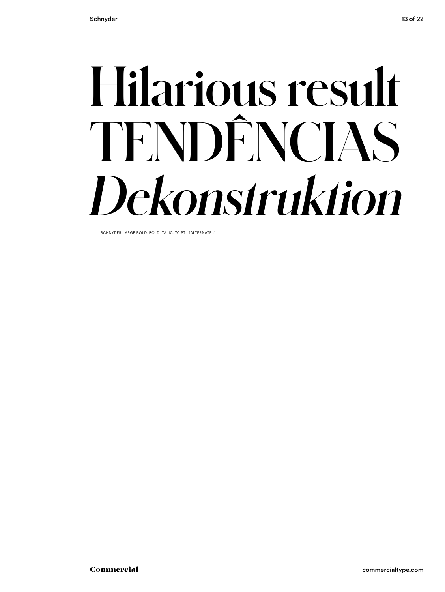### **Hilarious result TENDÊNCIAS** *Dekonstruktion*

SCHNYDER LARGE BOLD, BOLD ITALIC, 70 PT [ALTERNATE t]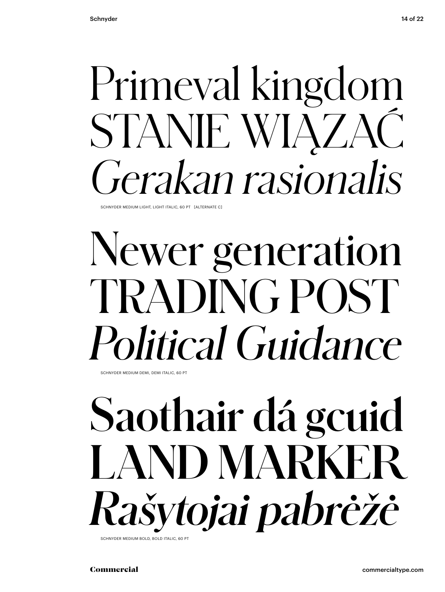#### Primeval kingdom STANIE WIĄZAĆ *Gerakan rasionalis* SCHNYDER MEDIUM LIGHT, LIGHT ITALIC, 60 PT [ALTERNATE C]

#### Newer generation TRADING POST *Political Guidance*

SCHNYDER MEDIUM DEMI, DEMI ITALIC, 60 PT

#### **Saothair dá gcuid LAND MARKER** *Rašytojai pabrėžė* SCHNYDER MEDIUM BOLD, BOLD ITALIC, 60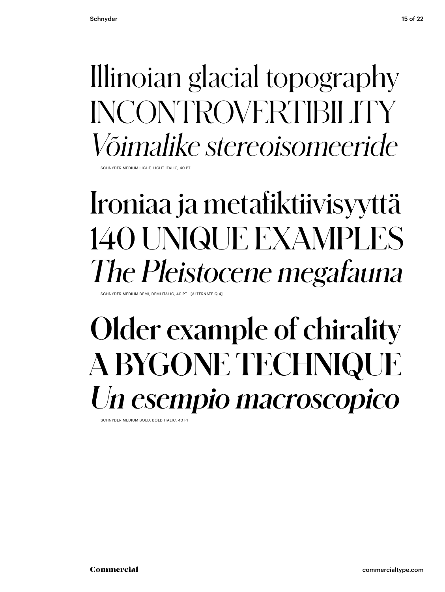#### Illinoian glacial topography INCONTROVERTIBILITY *Võimalike stereoisomeeride*

SCHNYDER MEDIUM LIGHT, LIGHT ITALIC, 40 P

#### Ironiaa ja metafiktiivisyyttä 140 UNIQUE EXAMPLES *The Pleistocene megafauna*

SCHNYDER MEDIUM DEMI, DEMI ITALIC, 40 PT [ALTERNATE Q 4]

#### **Older example of chirality A BYGONE TECHNIQUE** *Un esempio macroscopico*

SCHNYDER MEDIUM BOLD, BOLD ITALIC, 40 PT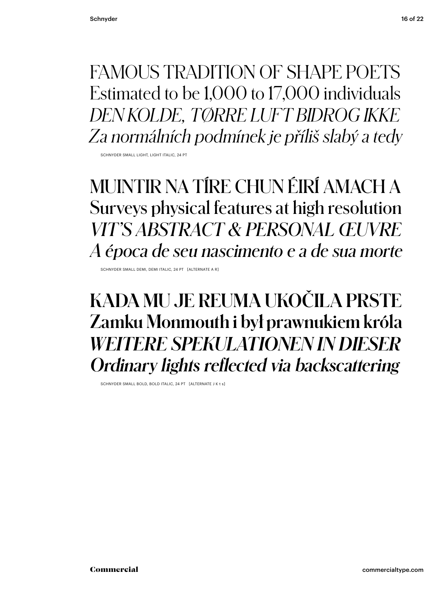FAMOUS TRADITION OF SHAPE POETS Estimated to be 1,000 to 17,000 individuals *DEN KOLDE, TØRRE LUFT BIDROG IKKE*

*Za normálních podmínek je příliš slabý a tedy*

SCHNYDER SMALL LIGHT, LIGHT ITALIC, 24 PT

MUINTIR NA TÍRE CHUN ÉIRÍ AMACH A Surveys physical features at high resolution *VIT'S ABSTRACT & PERSONAL ŒUVRE A época de seu nascimento e a de sua morte*

SCHNYDER SMALL DEMI, DEMI ITALIC, 24 PT [ALTERNATE A R]

**KADA MU JE REUMA UKOČILA PRSTE Zamku Monmouth i był prawnukiem króla** *WEITERE SPEKULATIONEN IN DIESER Ordinary lights reflected via backscattering*

SCHNYDER SMALL BOLD, BOLD ITALIC, 24 PT [ALTERNATE J K t s]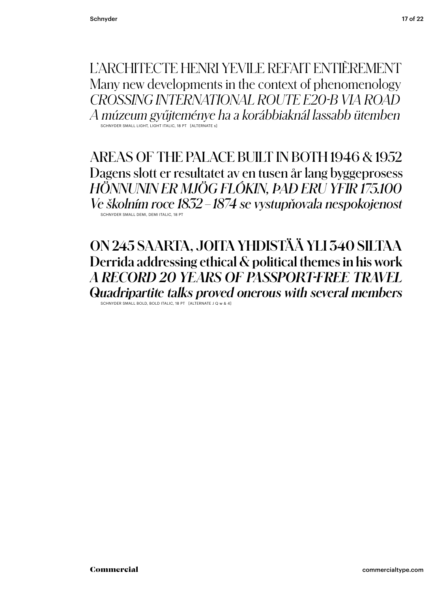L'ARCHITECTE HENRI YEVILE REFAIT ENTIÈREMENT Many new developments in the context of phenomenology *CROSSING INTERNATIONAL ROUTE E20-B VIA ROAD A múzeum gyűjteménye ha a korábbiaknál lassabb ütemben* SCHNYDER SMALL LIGHT, LIGHT ITALIC, 18 PT [ALTERNATE s]

SCHNYDER SMALL DEMI, DEMI ITALIC, 18 PT AREAS OF THE PALACE BUILT IN BOTH 1946 & 1952 Dagens slott er resultatet av en tusen år lang byggeprosess *HÖNNUNIN ER MJÖG FLÓKIN, ÞAÐ ERU YFIR 175.100 Ve školním roce 1832–1874 se vystupňovala nespokojenost*

**ON 245 SAARTA, JOITA YHDISTÄÄ YLI 340 SILTAA Derrida addressing ethical & political themes in his work** *A RECORD 20 YEARS OF PASSPORT-FREE TRAVEL Quadripartite talks proved onerous with several members* SCHNYDER SMALL BOLD, BOLD ITALIC, 18 PT [ALTERNATE J Q w & 4]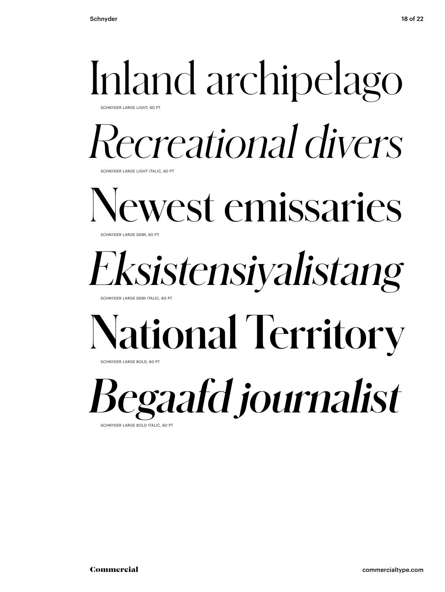### Inland archipelago

CHNYDER LARGE LIGHT, 60 PT

#### *Recreational divers*

**SCHNYDER LARGE LIGHT ITALIC, 60 PT** 

Newest emissaries SCHNYDER LARGE DEMI, 60 PT

#### *Eksistensiyalistang*

CHNYDER LARGE DEMI ITALIC, 60 P

#### **National Territory**

SCHNYDER LARGE BOLD, 60 PT

*Begaafd journalist* SCHNYDER LARGE BOLD ITALIC, 60 PT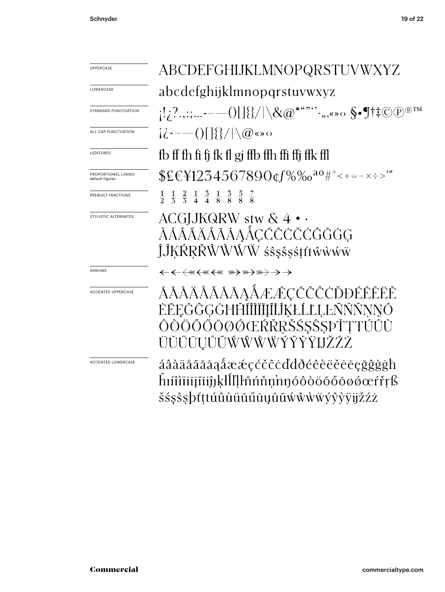| <b>UPPERCASE</b>                       | ABCDEFGHIJKLMNOPQRSTUVWXYZ                                                                                                    |  |  |
|----------------------------------------|-------------------------------------------------------------------------------------------------------------------------------|--|--|
| LOWERCASE                              | abcdefghijklmnopqrstuvwxyz                                                                                                    |  |  |
| STANDARD PUNCTUATION                   |                                                                                                                               |  |  |
| ALL CAP PUNCTUATION                    | $i\dot{\zeta}$ - $-$ ()[]{{\/ \@«» $\circ$                                                                                    |  |  |
| LIGATURES                              | fb ff fh fi fi fk fl gj ffb ffh ffi ffj ffk ffl                                                                               |  |  |
| PROPORTIONAL LINING<br>default figures | $EEY1234567890$ cf%‰ <sup>ao#°</sup> <+=-x÷>'"                                                                                |  |  |
| PREBUILT FRACTIONS                     | $\frac{1}{2}$ $\frac{1}{3}$ $\frac{2}{3}$ $\frac{1}{4}$ $\frac{3}{4}$ $\frac{1}{8}$ $\frac{3}{8}$ $\frac{5}{8}$ $\frac{7}{8}$ |  |  |
| STYLISTIC ALTERNATES                   | $ACGIJKQRW$ stw $& 4 \cdot \cdot$<br>ÀÁÂÃÄÅĂĂĂAÅÇĆĈĊČĆĜĞĠG<br>ĴĴĶŔŖŘŴŴŴŴśŝşšşśţťŧŵŵŵŵ                                         |  |  |
| ARROWS                                 |                                                                                                                               |  |  |
| <b>ACCENTED UPPERCASE</b>              | ÁÂÀÄÅĂĂĂĀĄÅÆÆÇČČČČĎĐÉÊÈËĚ<br>ĖĒĘĞĜĢĠĦĤĺĨĨĬĨĮĨĬĴĶŁĹĽĻĿŇŃŇŅŊÓ<br>ÔÒÖŐŐŌØØŒŔŘŖŠŚŞŜSPŤŢŦÚÛÙ<br>ÜŬŰŨŪŲŮŨŴŴŴŴŶŶŶŸIJŽŹŻ              |  |  |
| <b>ACCENTED LOWERCASE</b>              | áâàäåããāąåææçćčĉċďđðéêèëěēęğĝġġħ<br>ĥıíîìïiīiĩiíjjķłĺľḷŀñńňṇ'nŋóôòöõőōøǿœŕřŗß<br>šśşŝşþťţtúûùüŭűūųůũẃŵẁẅýŷỳÿijžźż             |  |  |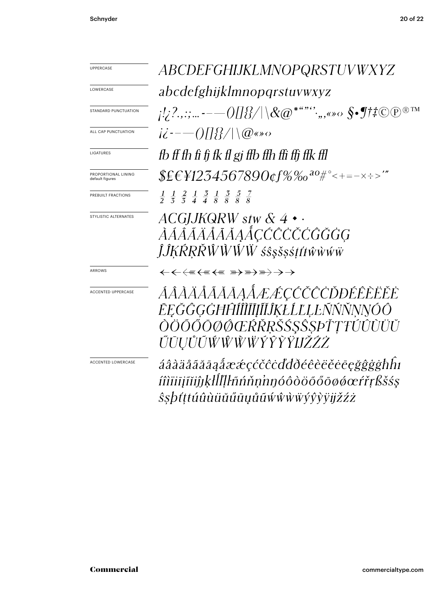| <b>UPPERCASE</b>                       | <i>ABCDEFGHIJKLMNOPQRSTUVWXYZ</i>                                                                                             |  |  |
|----------------------------------------|-------------------------------------------------------------------------------------------------------------------------------|--|--|
| LOWERCASE                              | abcdefghijklmnopqrstuvwxyz                                                                                                    |  |  |
| <b>STANDARD PUNCTUATION</b>            |                                                                                                                               |  |  |
| ALL CAP PUNCTUATION                    | $i\dot{\mathcal{L}}$ --- ()[]{{\/ \@«»                                                                                        |  |  |
| LIGATURES                              | fb ff fh fi fj fk fl gj ffb ffh ffi ffj ffk ffl                                                                               |  |  |
| PROPORTIONAL LINING<br>default figures | $EEH234567890$ cf%‰ <sup>ao#°</sup> <+=-x÷>'"                                                                                 |  |  |
| PREBUILT FRACTIONS                     | $\frac{1}{2}$ $\frac{1}{3}$ $\frac{2}{3}$ $\frac{1}{4}$ $\frac{3}{4}$ $\frac{1}{8}$ $\frac{3}{8}$ $\frac{5}{8}$ $\frac{7}{8}$ |  |  |
| STYLISTIC ALTERNATES                   | $ACGJJKQRW$ stw $\&$ 4 $\cdot$ $\cdot$<br>ÀÁÂÃÄÅĂĂĀAÅÇĆĈČČĆĜĞĠG<br>ĴĴĶŔŖŘŴŴŴŴśŝşšşśţťŧŵŵŵŵ                                    |  |  |
| ARROWS                                 |                                                                                                                               |  |  |
| ACCENTED UPPERCASE                     | ÁÂÀÄÅĂĂĂĀAÅÆÆÇČČČŎĐÉÊÈËĚ<br>ĒĘĞĜĢĠĦĤÍÎÌĨĬĨĮĨĬĴKŁĹĽĻĿÑŃŇNNÓÔ<br>ÒÖŐŐŌØØŒŔŘŖŠŚ\$ŜSÞŤŢŦÚÛÙÜŬ<br>ŰŪŲŮŨŴŴŴŴŶŶŶŸIJŽŹŻ               |  |  |
| <b>ACCENTED LOWERCASE</b>              | áâàäåãããąåææçćčĉċďđðéêèëĕēęğĝġġħhı<br>íîìïiīįĩiíjjķłĺľļŀñńňṇ'nŋóôòöõőōøøœŕřŗßšśs<br><i>Ŝ§þťţŧúûùüŭűūųůũẃŵŵ</i> w̃ÿŷỳÿjžźż     |  |  |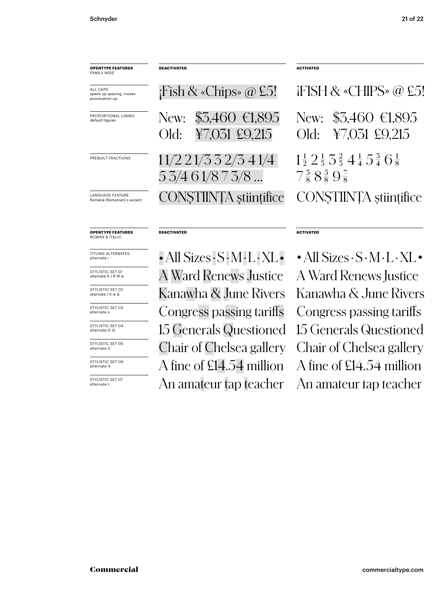| <b>OPENTYPE FEATURES</b><br><b>FAMILY WIDE</b>        | <b>DEACTIVATED</b>                                                 | <b>ACTIVATED</b>                                                                                                                    |
|-------------------------------------------------------|--------------------------------------------------------------------|-------------------------------------------------------------------------------------------------------------------------------------|
| ALL CAPS<br>opens up spacing, moves<br>punctuation up | $i$ Fish & «Chips» @ £5!                                           | iFISH & «CHIPS» @ £5!                                                                                                               |
| PROPORTIONAL LINING<br>default figures                | $$3,460 \in 1,895$<br>New:<br>¥7,031 £9,215<br>Old:                | $$3,460 \in 1,895$<br>New:<br>¥7,031 £9,215<br>Old:                                                                                 |
| PREBUILT FRACTIONS                                    | 11/2 21/3 3 2/3 4 1/4<br>53/461/873/8                              | $1\frac{1}{2}$ $2\frac{1}{3}$ $3\frac{2}{3}$ $4\frac{1}{4}$ $5\frac{3}{4}$ $6\frac{1}{8}$<br>$7\frac{3}{8}8\frac{5}{8}9\frac{7}{8}$ |
| <b>LANGUAGE FEATURE</b><br>Română (Romanian) s accent | CONSTIINTA stiințifice                                             | CONSTIINȚA științifice                                                                                                              |
| <b>OPENTYPE FEATURES</b><br><b>ROMAN &amp; ITALIC</b> | <b>DEACTIVATED</b>                                                 | <b>ACTIVATED</b>                                                                                                                    |
| TITI ING ALTERNATES<br>alternate                      | $\cdot$ All Sizes $\cdot$ S $\cdot$ M $\cdot$ L $\cdot$ XL $\cdot$ | $\cdot$ All Sizes $\cdot$ S $\cdot$ M $\cdot$ L $\cdot$ XL $\cdot$                                                                  |

STYLISTIC SET 01 alternate A J R W w

STYLISTIC SET 02 alternate J K w &

STYLISTIC SET 03 alternate s

STYLISTIC SET 04 alternate G Q

STYLISTIC SET 05 alternate C

alternate 4

STYLISTIC SET 07<br>alternate t

A Ward Renews Justice A Ward Renews Justice Kanawha & June Rivers Kanawha & June Rivers Congress passing tariffs Congress passing tariffs 15 Generals Questioned 15 Generals Questioned Chair of Chelsea gallery Chair of Chelsea gallery An amateur tap teacher An amateur tap teacher STYLISTIC SET OG A fine of  $E14.54$  million A fine of  $E14.54$  million